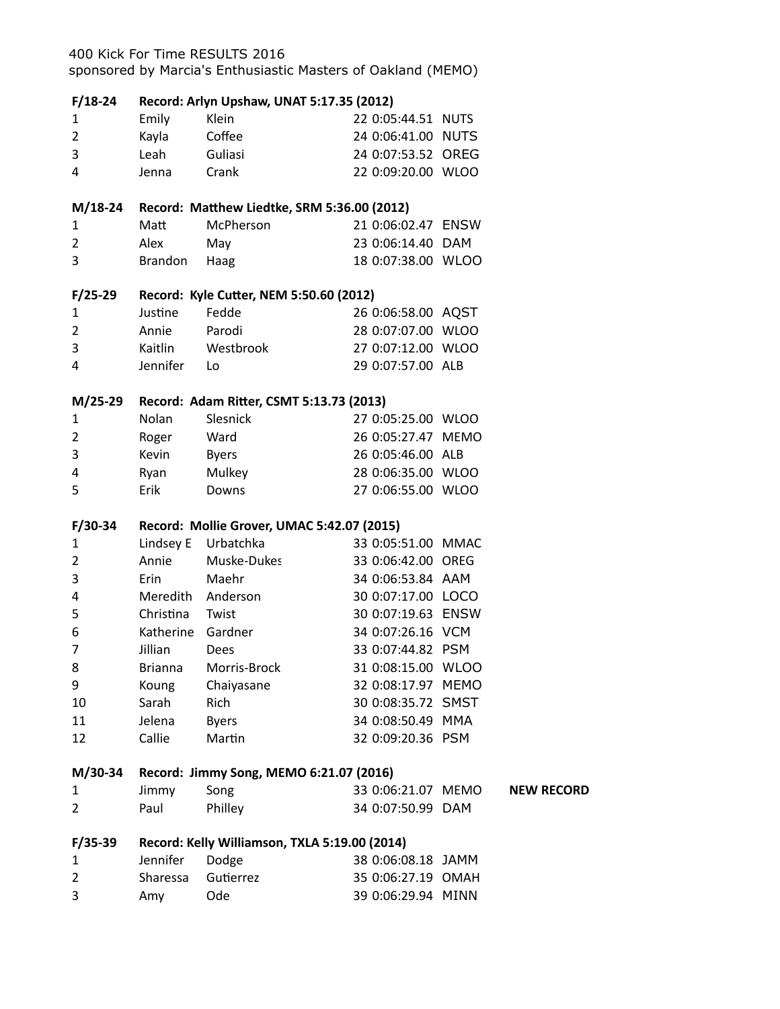sponsored by Marcia's Enthusiastic Masters of Oakland (MEMO)

| F/18-24        |                   |                   | Record: Arlyn Upshaw, UNAT 5:17.35 (2012)     |                   |
|----------------|-------------------|-------------------|-----------------------------------------------|-------------------|
| $\mathbf{1}$   | Emily             | Klein             | 22 0:05:44.51 NUTS                            |                   |
| 2              | Kayla             | Coffee            | 24 0:06:41.00 NUTS                            |                   |
| 3              | Leah              | Guliasi           | 24 0:07:53.52 OREG                            |                   |
| 4              | Jenna             | Crank             | 22 0:09:20.00 WLOO                            |                   |
| M/18-24        |                   |                   | Record: Matthew Liedtke, SRM 5:36.00 (2012)   |                   |
| $\mathbf{1}$   | Matt              | McPherson         | 21 0:06:02.47 ENSW                            |                   |
| 2              | Alex              | May               | 23 0:06:14.40 DAM                             |                   |
| 3              | <b>Brandon</b>    | Haag              | 18 0:07:38.00 WLOO                            |                   |
| F/25-29        |                   |                   | Record: Kyle Cutter, NEM 5:50.60 (2012)       |                   |
| 1              | Justine           | Fedde             | 26 0:06:58.00 AQST                            |                   |
| 2              | Annie             | Parodi            | 28 0:07:07.00 WLOO                            |                   |
| 3              | Kaitlin           | Westbrook         | 27 0:07:12.00 WLOO                            |                   |
| 4              | Jennifer          | Lo                | 29 0:07:57.00 ALB                             |                   |
|                |                   |                   |                                               |                   |
| M/25-29        |                   |                   | Record: Adam Ritter, CSMT 5:13.73 (2013)      |                   |
| 1              | <b>Nolan</b>      | Slesnick          | 27 0:05:25.00 WLOO                            |                   |
| 2              | Roger             | Ward              | 26 0:05:27.47 MEMO                            |                   |
| 3              | Kevin             | <b>Byers</b>      | 26 0:05:46.00 ALB                             |                   |
| 4              | Ryan              | Mulkey            | 28 0:06:35.00 WLOO                            |                   |
| 5              | Erik              | Downs             | 27 0:06:55.00 WLOO                            |                   |
| F/30-34        |                   |                   | Record: Mollie Grover, UMAC 5:42.07 (2015)    |                   |
| 1              | Lindsey E         | Urbatchka         | 33 0:05:51.00 MMAC                            |                   |
| 2              | Annie             | Muske-Dukes       | 33 0:06:42.00 OREG                            |                   |
| 3              | Erin              | Maehr             | 34 0:06:53.84 AAM                             |                   |
| 4              |                   | Meredith Anderson | 30 0:07:17.00 LOCO                            |                   |
| 5              | Christina         | Twist             | 30 0:07:19.63 ENSW                            |                   |
| 6              | Katherine Gardner |                   | 34 0:07:26.16 VCM                             |                   |
| 7              | Jillian           | Dees              | 33 0:07:44.82 PSM                             |                   |
| 8              | <b>Brianna</b>    | Morris-Brock      | 31 0:08:15.00 WLOO                            |                   |
| 9              | Koung             | Chaiyasane        | 32 0:08:17.97 MEMO                            |                   |
| 10             | Sarah             | <b>Rich</b>       | 30 0:08:35.72 SMST                            |                   |
| 11             | Jelena            | <b>Byers</b>      | 34 0:08:50.49 MMA                             |                   |
| 12             | Callie            | Martin            | 32 0:09:20.36 PSM                             |                   |
| M/30-34        |                   |                   | Record: Jimmy Song, MEMO 6:21.07 (2016)       |                   |
| $\mathbf{1}$   | Jimmy             | Song              | 33 0:06:21.07 MEMO                            | <b>NEW RECORD</b> |
| $\overline{2}$ | Paul              | Philley           | 34 0:07:50.99 DAM                             |                   |
|                |                   |                   |                                               |                   |
| $F/35-39$      |                   |                   | Record: Kelly Williamson, TXLA 5:19.00 (2014) |                   |
| $\mathbf{1}$   | Jennifer          | Dodge             | 38 0:06:08.18 JAMM                            |                   |
| 2              | Sharessa          | Gutierrez         | 35 0:06:27.19 OMAH                            |                   |
| 3              | Amy               | Ode               | 39 0:06:29.94 MINN                            |                   |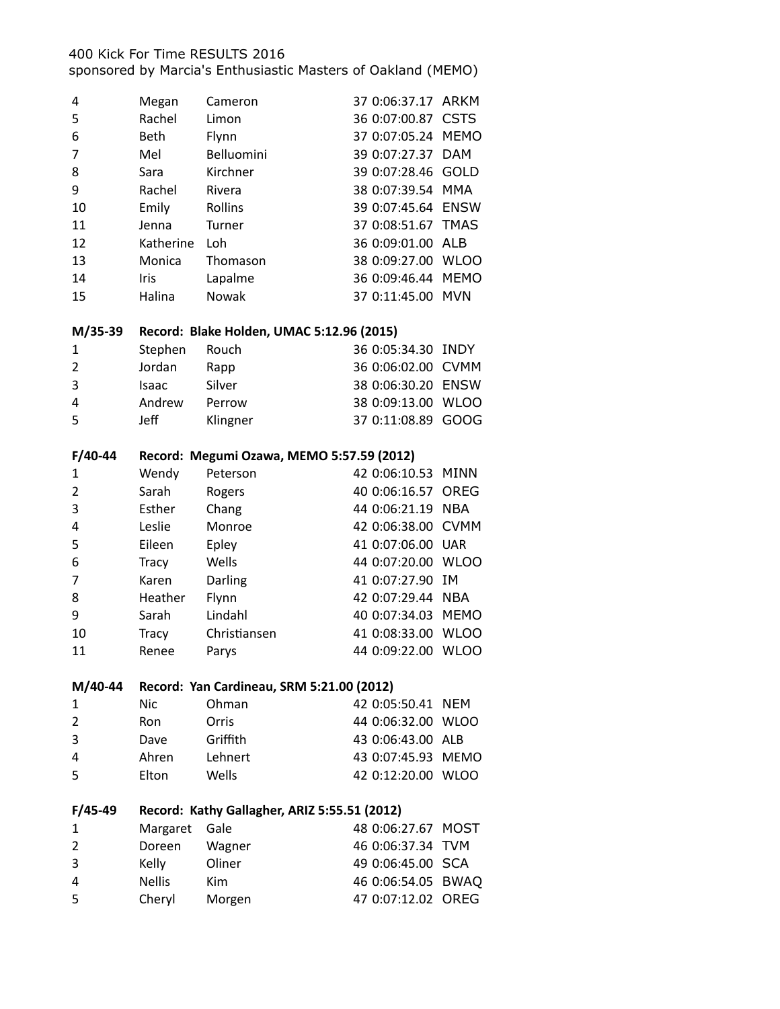sponsored by Marcia's Enthusiastic Masters of Oakland (MEMO)

| 4              | Megan         | Cameron                                      | 37 0:06:37.17<br>ARKM        |
|----------------|---------------|----------------------------------------------|------------------------------|
| 5              | Rachel        | Limon                                        | 36 0:07:00.87<br><b>CSTS</b> |
| 6              | <b>Beth</b>   | Flynn                                        | 37 0:07:05.24<br><b>MEMO</b> |
| 7              | Mel           | Belluomini                                   | <b>DAM</b><br>39 0:07:27.37  |
| 8              | Sara          | Kirchner                                     | <b>GOLD</b><br>39 0:07:28.46 |
| 9              | Rachel        | Rivera                                       | <b>MMA</b><br>38 0:07:39.54  |
| 10             | Emily         | Rollins                                      | 39 0:07:45.64<br><b>ENSW</b> |
| 11             | Jenna         | Turner                                       | 37 0:08:51.67<br><b>TMAS</b> |
| 12             | Katherine     | Loh                                          | 36 0:09:01.00<br><b>ALB</b>  |
|                | Monica        |                                              | <b>WLOO</b>                  |
| 13             |               | Thomason                                     | 38 0:09:27.00                |
| 14             | Iris          | Lapalme                                      | 36 0:09:46.44<br><b>MEMO</b> |
| 15             | Halina        | Nowak                                        | 37 0:11:45.00<br><b>MVN</b>  |
| M/35-39        |               | Record: Blake Holden, UMAC 5:12.96 (2015)    |                              |
| 1              | Stephen       | Rouch                                        | 36 0:05:34.30<br><b>INDY</b> |
| $\overline{2}$ | Jordan        | Rapp                                         | <b>CVMM</b><br>36 0:06:02.00 |
| 3              | Isaac         | Silver                                       | 38 0:06:30.20<br><b>ENSW</b> |
| 4              | Andrew        | Perrow                                       | <b>WLOO</b><br>38 0:09:13.00 |
| 5              | Jeff          | Klingner                                     | 37 0:11:08.89<br>GOOG        |
|                |               |                                              |                              |
| $F/40-44$      |               | Record: Megumi Ozawa, MEMO 5:57.59 (2012)    |                              |
| $\mathbf{1}$   | Wendy         | Peterson                                     | 42 0:06:10.53<br>MINN        |
| 2              | Sarah         | Rogers                                       | <b>OREG</b><br>40 0:06:16.57 |
| 3              | Esther        | Chang                                        | 44 0:06:21.19<br><b>NBA</b>  |
| 4              | Leslie        | Monroe                                       | <b>CVMM</b><br>42 0:06:38.00 |
| 5              | Eileen        | Epley                                        | 41 0:07:06.00<br><b>UAR</b>  |
| 6              | <b>Tracy</b>  | Wells                                        | <b>WLOO</b><br>44 0:07:20.00 |
| 7              | Karen         | Darling                                      | IM<br>41 0:07:27.90          |
| 8              | Heather       | Flynn                                        | <b>NBA</b><br>42 0:07:29.44  |
| 9              | Sarah         | Lindahl                                      | <b>MEMO</b><br>40 0:07:34.03 |
| 10             | <b>Tracy</b>  | Christiansen                                 | 41 0:08:33.00<br><b>WLOO</b> |
| 11             | Renee         | Parys                                        | <b>WLOO</b><br>44 0:09:22.00 |
|                |               |                                              |                              |
| M/40-44        |               | Record: Yan Cardineau, SRM 5:21.00 (2012)    |                              |
| 1              | <b>Nic</b>    | Ohman                                        | 42 0:05:50.41 NEM            |
| $\overline{2}$ | <b>Ron</b>    | Orris                                        | 44 0:06:32.00<br><b>WLOO</b> |
| 3              | Dave          | Griffith                                     | 43 0:06:43.00 ALB            |
| 4              | Ahren         | Lehnert                                      | 43 0:07:45.93 MEMO           |
| 5              | Elton         | Wells                                        | 42 0:12:20.00 WLOO           |
| $F/45-49$      |               | Record: Kathy Gallagher, ARIZ 5:55.51 (2012) |                              |
| 1              | Margaret      | Gale                                         | 48 0:06:27.67 MOST           |
| 2              | Doreen        |                                              | <b>TVM</b><br>46 0:06:37.34  |
|                |               | Wagner                                       |                              |
| 3              | Kelly         | Oliner                                       | 49 0:06:45.00 SCA            |
| 4              | <b>Nellis</b> | Kim                                          | <b>BWAQ</b><br>46 0:06:54.05 |
| 5              | Cheryl        | Morgen                                       | <b>OREG</b><br>47 0:07:12.02 |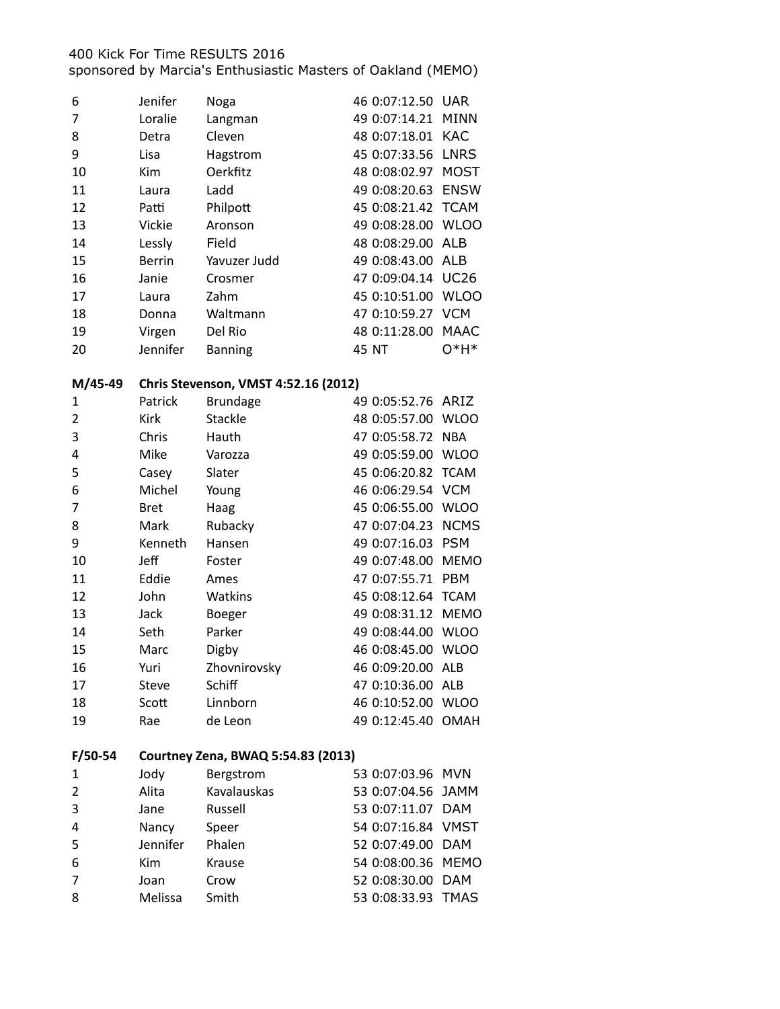sponsored by Marcia's Enthusiastic Masters of Oakland (MEMO)

| 6  | Jenifer       | Noga           | 46 0:07:12.50 UAR  |        |
|----|---------------|----------------|--------------------|--------|
| 7  | Loralie       | Langman        | 49 0:07:14.21 MINN |        |
| 8  | Detra         | Cleven         | 48 0:07:18.01 KAC  |        |
| 9  | Lisa          | Hagstrom       | 45 0:07:33.56 LNRS |        |
| 10 | Kim           | Oerkfitz       | 48 0:08:02.97 MOST |        |
| 11 | Laura         | Ladd           | 49 0:08:20.63 ENSW |        |
| 12 | Patti         | Philpott       | 45 0:08:21.42 TCAM |        |
| 13 | Vickie        | Aronson        | 49 0:08:28.00 WLOO |        |
| 14 | Lessly        | Field          | 48 0:08:29.00 ALB  |        |
| 15 | <b>Berrin</b> | Yavuzer Judd   | 49 0:08:43.00 ALB  |        |
| 16 | Janie         | Crosmer        | 47 0:09:04.14 UC26 |        |
| 17 | Laura         | Zahm           | 45 0:10:51.00 WLOO |        |
| 18 | Donna         | Waltmann       | 47 0:10:59.27 VCM  |        |
| 19 | Virgen        | Del Rio        | 48 0:11:28.00 MAAC |        |
| 20 | Jennifer      | <b>Banning</b> | 45 NT              | $O*H*$ |
|    |               |                |                    |        |

## **M/45-49 Chris Stevenson, VMST 4:52.16 (2012)**

| 1              | Patrick      | <b>Brundage</b> | 49 0:05:52.76 ARIZ |             |
|----------------|--------------|-----------------|--------------------|-------------|
| $\overline{2}$ | Kirk         | Stackle         | 48 0:05:57.00      | WLOO        |
| 3              | Chris        | Hauth           | 47 0:05:58.72 NBA  |             |
| 4              | Mike         | Varozza         | 49 0:05:59.00      | WLOO        |
| 5              | Casey        | Slater          | 45 0:06:20.82 TCAM |             |
| 6              | Michel       | Young           | 46 0:06:29.54 VCM  |             |
| 7              | <b>Bret</b>  | Haag            | 45 0:06:55.00      | <b>WLOO</b> |
| 8              | Mark         | Rubacky         | 47 0:07:04.23      | <b>NCMS</b> |
| 9              | Kenneth      | Hansen          | 49 0:07:16.03      | <b>PSM</b>  |
| 10             | Jeff         | Foster          | 49 0:07:48.00      | <b>MEMO</b> |
| 11             | Eddie        | Ames            | 47 0:07:55.71      | <b>PBM</b>  |
| 12             | John         | Watkins         | 45 0:08:12.64 TCAM |             |
| 13             | Jack         | <b>Boeger</b>   | 49 0:08:31.12 MEMO |             |
| 14             | Seth         | Parker          | 49 0:08:44.00      | <b>WLOO</b> |
| 15             | Marc         | Digby           | 46 0:08:45.00      | <b>WLOO</b> |
| 16             | Yuri         | Zhovnirovsky    | 46 0:09:20.00      | ALB         |
| 17             | <b>Steve</b> | Schiff          | 47 0:10:36.00      | ALB         |
| 18             | Scott        | Linnborn        | 46 0:10:52.00      | <b>WLOO</b> |
| 19             | Rae          | de Leon         | 49 0:12:45.40      | <b>OMAH</b> |

### **F/50-54 Courtney Zena, BWAQ 5:54.83 (2013)**

| $\mathbf{1}$   | Jody     | Bergstrom     | 53 0:07:03.96 MVN  |  |
|----------------|----------|---------------|--------------------|--|
| $\overline{2}$ | Alita    | Kavalauskas   | 53 0:07:04.56 JAMM |  |
| 3              | Jane     | Russell       | 53 0:07:11.07 DAM  |  |
| $\overline{4}$ | Nancy    | Speer         | 54 0:07:16.84 VMST |  |
| 5              | Jennifer | Phalen        | 52 0:07:49.00 DAM  |  |
| 6              | Kim      | <b>Krause</b> | 54 0:08:00.36 MEMO |  |
| $\overline{7}$ | Joan     | Crow          | 52 0:08:30.00 DAM  |  |
| 8              | Melissa  | Smith         | 53 0:08:33.93 TMAS |  |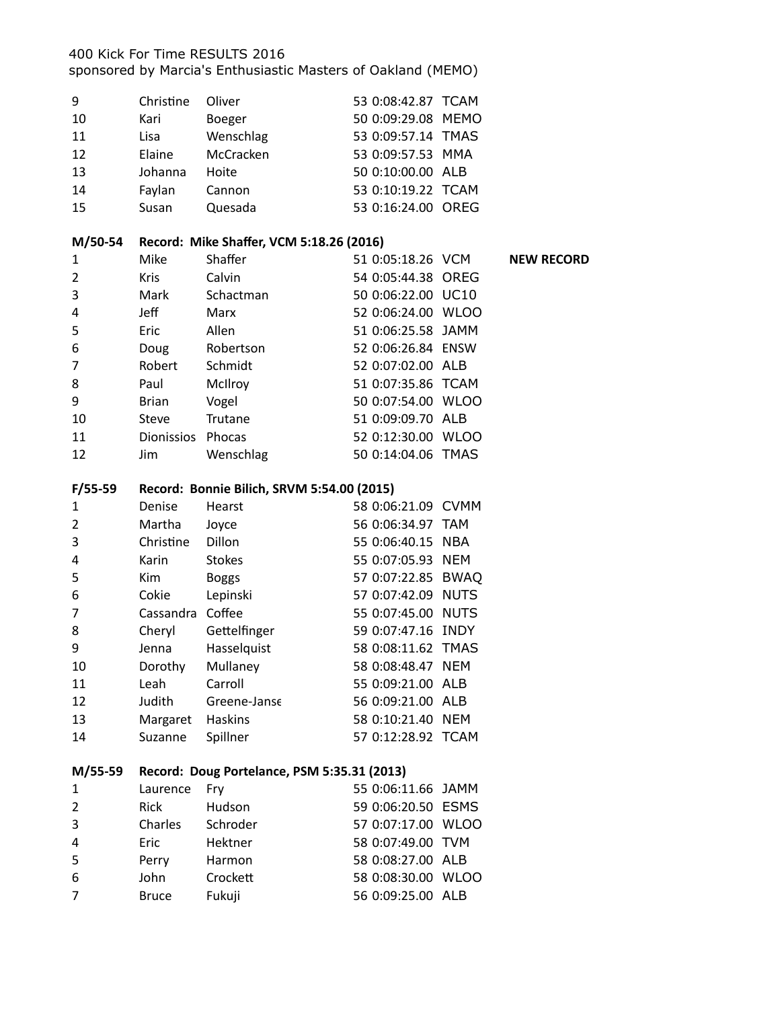sponsored by Marcia's Enthusiastic Masters of Oakland (MEMO)

| 9              | Christine   | Oliver                                   | 53 0:08:42.87 TCAM |
|----------------|-------------|------------------------------------------|--------------------|
| 10             | Kari        | <b>Boeger</b>                            | 50 0:09:29.08 MEMO |
| 11             | Lisa        | Wenschlag                                | 53 0:09:57.14 TMAS |
| 12             | Elaine      | McCracken                                | 53 0:09:57.53 MMA  |
| 13             | Johanna     | Hoite                                    | 50 0:10:00.00 ALB  |
| 14             | Faylan      | Cannon                                   | 53 0:10:19.22 TCAM |
| 15             | Susan       | Quesada                                  | 53 0:16:24.00 OREG |
|                |             |                                          |                    |
| M/50-54        |             | Record: Mike Shaffer, VCM 5:18.26 (2016) |                    |
| 1              | Mike        | Shaffer                                  | 51 0:05:18.26 VCM  |
| 2              | <b>Kris</b> | Calvin                                   | 54 0:05:44.38 OREG |
| 3              | Mark        | Schactman                                | 50 0:06:22.00 UC10 |
| $\overline{4}$ | Jeff        | Marx                                     | 52 0:06:24.00 WLOO |
| 5              | Eric        | Allen                                    | 51 0:06:25.58 JAMM |
|                |             |                                          |                    |

**NEW RECORD** 

| 6              | Doug              | Robertson | 52 0:06:26.84 ENSW |  |
|----------------|-------------------|-----------|--------------------|--|
| $\overline{7}$ | Robert            | Schmidt   | 52 0:07:02.00 ALB  |  |
| 8              | Paul              | McIlroy   | 51 0:07:35.86 TCAM |  |
| 9              | <b>Brian</b>      | Vogel     | 50 0:07:54.00 WLOO |  |
| 10             | Steve             | Trutane   | 51 0:09:09.70 ALB  |  |
| 11             | Dionissios Phocas |           | 52 0:12:30.00 WLOO |  |
| 12             | Jim               | Wenschlag | 50 0:14:04.06 TMAS |  |
|                |                   |           |                    |  |

#### **F/55-59 Record: Bonnie Bilich, SRVM 5:54.00 (2015)**

| 1  | Denise    | Hearst         | 58 0:06:21.09 CVMM |             |
|----|-----------|----------------|--------------------|-------------|
|    |           |                |                    |             |
| 2  | Martha    | Joyce          | 56 0:06:34.97 TAM  |             |
| 3  | Christine | Dillon         | 55 0:06:40.15      | <b>NBA</b>  |
| 4  | Karin     | <b>Stokes</b>  | 55 0:07:05.93      | <b>NEM</b>  |
| 5  | Kim       | <b>Boggs</b>   | 57 0:07:22.85      | <b>BWAQ</b> |
| 6  | Cokie     | Lepinski       | 57 0:07:42.09      | <b>NUTS</b> |
| 7  | Cassandra | Coffee         | 55 0:07:45.00      | <b>NUTS</b> |
| 8  | Cheryl    | Gettelfinger   | 59 0:07:47.16      | <b>INDY</b> |
| 9  | Jenna     | Hasselquist    | 58 0:08:11.62 TMAS |             |
| 10 | Dorothy   | Mullaney       | 58 0:08:48.47 NEM  |             |
| 11 | Leah      | Carroll        | 55 0:09:21.00 ALB  |             |
| 12 | Judith    | Greene-Janse   | 56 0:09:21.00 ALB  |             |
| 13 | Margaret  | <b>Haskins</b> | 58 0:10:21.40      | <b>NEM</b>  |
| 14 | Suzanne   | Spillner       | 57 0:12:28.92 TCAM |             |

### **M/55-59 Record: Doug Portelance, PSM 5:35.31 (2013)**

| 1              | Laurence     | – Frv    | 55 0:06:11.66 JAMM |  |
|----------------|--------------|----------|--------------------|--|
| 2              | Rick         | Hudson   | 59 0:06:20.50 ESMS |  |
| 3              | Charles      | Schroder | 57 0:07:17.00 WLOO |  |
| $\overline{4}$ | <b>Eric</b>  | Hektner  | 58 0:07:49.00 TVM  |  |
| 5              | Perry        | Harmon   | 58 0:08:27.00 ALB  |  |
| 6              | John         | Crockett | 58 0:08:30.00 WLOO |  |
| 7              | <b>Bruce</b> | Fukuji   | 56 0:09:25.00 ALB  |  |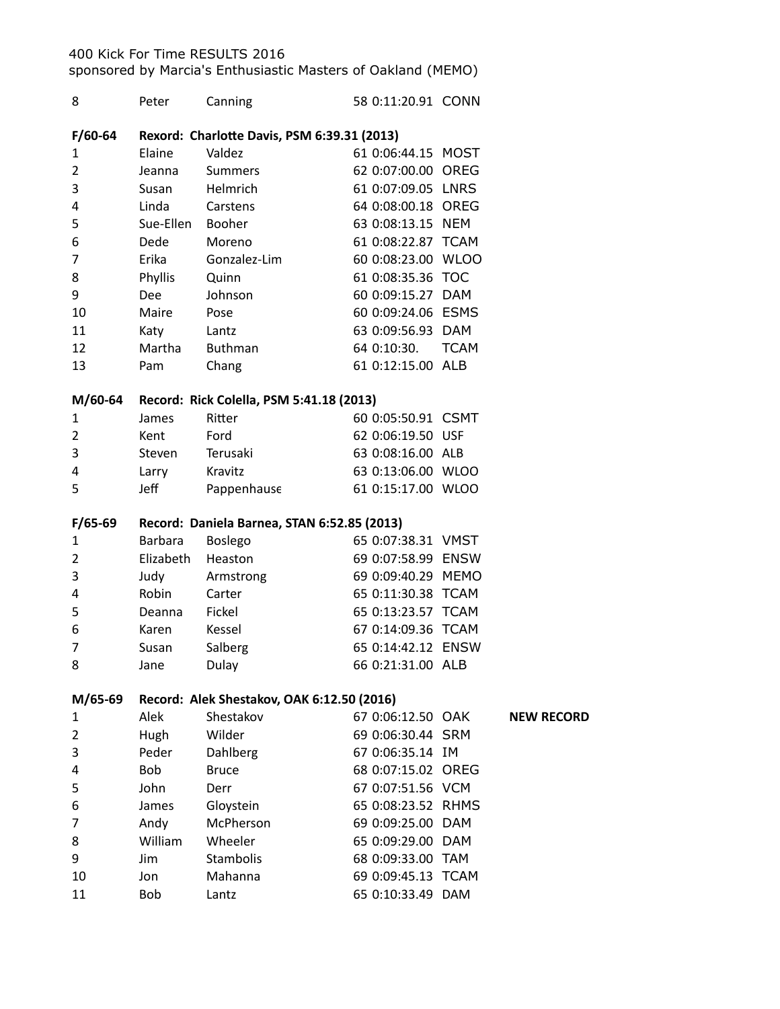sponsored by Marcia's Enthusiastic Masters of Oakland (MEMO)

| 8              | Peter            | Canning                                  | 58 0:11:20.91 CONN                          |             |                   |
|----------------|------------------|------------------------------------------|---------------------------------------------|-------------|-------------------|
| $F/60-64$      |                  |                                          | Rexord: Charlotte Davis, PSM 6:39.31 (2013) |             |                   |
| 1              | Elaine           | Valdez                                   | 61 0:06:44.15 MOST                          |             |                   |
| $\overline{2}$ | Jeanna           | <b>Summers</b>                           | 62 0:07:00.00 OREG                          |             |                   |
| 3              | Susan            | Helmrich                                 | 61 0:07:09.05 LNRS                          |             |                   |
| 4              | Linda            | Carstens                                 | 64 0:08:00.18 OREG                          |             |                   |
| 5              | Sue-Ellen Booher |                                          | 63 0:08:13.15 NEM                           |             |                   |
| 6              | Dede             | Moreno                                   | 61 0:08:22.87 TCAM                          |             |                   |
| 7              | Erika            | Gonzalez-Lim                             | 60 0:08:23.00 WLOO                          |             |                   |
| 8              | Phyllis          | Quinn                                    | 61 0:08:35.36 TOC                           |             |                   |
| 9              | <b>Dee</b>       | Johnson                                  | 60 0:09:15.27 DAM                           |             |                   |
| 10             | Maire            | Pose                                     | 60 0:09:24.06 ESMS                          |             |                   |
| 11             | Katy             | Lantz                                    | 63 0:09:56.93 DAM                           |             |                   |
| 12             | Martha           | <b>Buthman</b>                           | 64 0:10:30.                                 | <b>TCAM</b> |                   |
| 13             | Pam              | Chang                                    | 61 0:12:15.00 ALB                           |             |                   |
| M/60-64        |                  | Record: Rick Colella, PSM 5:41.18 (2013) |                                             |             |                   |
| 1              | James            | Ritter                                   | 60 0:05:50.91 CSMT                          |             |                   |
| $\overline{2}$ | Kent             | Ford                                     | 62 0:06:19.50 USF                           |             |                   |
| 3              | Steven           | Terusaki                                 | 63 0:08:16.00 ALB                           |             |                   |
| 4              | Larry            | Kravitz                                  | 63 0:13:06.00 WLOO                          |             |                   |
| 5              | Jeff             | Pappenhause                              | 61 0:15:17.00 WLOO                          |             |                   |
| $F/65-69$      |                  |                                          | Record: Daniela Barnea, STAN 6:52.85 (2013) |             |                   |
| 1              | <b>Barbara</b>   | <b>Boslego</b>                           | 65 0:07:38.31 VMST                          |             |                   |
| $\overline{2}$ | Elizabeth        | Heaston                                  | 69 0:07:58.99 ENSW                          |             |                   |
| 3              | Judy             | Armstrong                                | 69 0:09:40.29 MEMO                          |             |                   |
| 4              | Robin            | Carter                                   | 65 0:11:30.38 TCAM                          |             |                   |
| 5              | Deanna           | Fickel                                   | 65 0:13:23.57 TCAM                          |             |                   |
| 6              | Karen            | Kessel                                   | 67 0:14:09.36 TCAM                          |             |                   |
| 7              | Susan            | Salberg                                  | 65 0:14:42.12 ENSW                          |             |                   |
| 8              | Jane             | Dulay                                    | 66 0:21:31.00 ALB                           |             |                   |
| M/65-69        |                  |                                          | Record: Alek Shestakov, OAK 6:12.50 (2016)  |             |                   |
| 1              | Alek             | Shestakov                                | 67 0:06:12.50 OAK                           |             | <b>NEW RECORD</b> |
| 2              | Hugh             | Wilder                                   | 69 0:06:30.44 SRM                           |             |                   |
| 3              | Peder            | Dahlberg                                 | 67 0:06:35.14 IM                            |             |                   |
| 4              | Bob              | <b>Bruce</b>                             | 68 0:07:15.02 OREG                          |             |                   |
| 5              | John             | Derr                                     | 67 0:07:51.56 VCM                           |             |                   |
| 6              | James            | Gloystein                                | 65 0:08:23.52 RHMS                          |             |                   |
| 7              | Andy             | McPherson                                | 69 0:09:25.00 DAM                           |             |                   |
| 8              | William          | Wheeler                                  | 65 0:09:29.00 DAM                           |             |                   |
| 9              | Jim              | Stambolis                                | 68 0:09:33.00 TAM                           |             |                   |
| 10             | Jon              | Mahanna                                  | 69 0:09:45.13 TCAM                          |             |                   |
| 11             | Bob              | Lantz                                    | 65 0:10:33.49 DAM                           |             |                   |
|                |                  |                                          |                                             |             |                   |